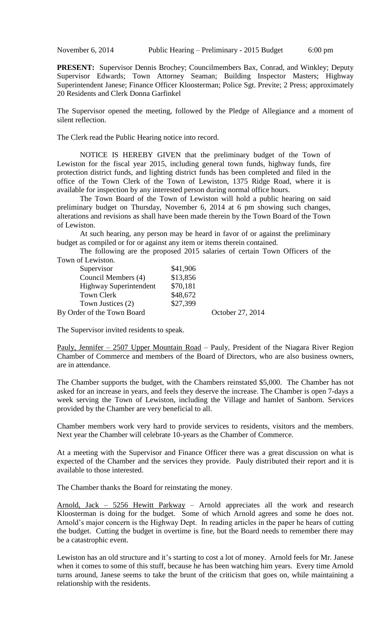**PRESENT:** Supervisor Dennis Brochey; Councilmembers Bax, Conrad, and Winkley; Deputy Supervisor Edwards; Town Attorney Seaman; Building Inspector Masters; Highway Superintendent Janese; Finance Officer Kloosterman; Police Sgt. Previte; 2 Press; approximately 20 Residents and Clerk Donna Garfinkel

The Supervisor opened the meeting, followed by the Pledge of Allegiance and a moment of silent reflection.

The Clerk read the Public Hearing notice into record.

NOTICE IS HEREBY GIVEN that the preliminary budget of the Town of Lewiston for the fiscal year 2015, including general town funds, highway funds, fire protection district funds, and lighting district funds has been completed and filed in the office of the Town Clerk of the Town of Lewiston, 1375 Ridge Road, where it is available for inspection by any interested person during normal office hours.

The Town Board of the Town of Lewiston will hold a public hearing on said preliminary budget on Thursday, November 6, 2014 at 6 pm showing such changes, alterations and revisions as shall have been made therein by the Town Board of the Town of Lewiston.

At such hearing, any person may be heard in favor of or against the preliminary budget as compiled or for or against any item or items therein contained.

The following are the proposed 2015 salaries of certain Town Officers of the Town of Lewiston.

| Supervisor                 | \$41,906 |                  |
|----------------------------|----------|------------------|
| Council Members (4)        | \$13,856 |                  |
| Highway Superintendent     | \$70,181 |                  |
| Town Clerk                 | \$48,672 |                  |
| Town Justices (2)          | \$27,399 |                  |
| By Order of the Town Board |          | October 27, 2014 |

The Supervisor invited residents to speak.

Pauly, Jennifer – 2507 Upper Mountain Road – Pauly, President of the Niagara River Region Chamber of Commerce and members of the Board of Directors, who are also business owners, are in attendance.

The Chamber supports the budget, with the Chambers reinstated \$5,000. The Chamber has not asked for an increase in years, and feels they deserve the increase. The Chamber is open 7-days a week serving the Town of Lewiston, including the Village and hamlet of Sanborn. Services provided by the Chamber are very beneficial to all.

Chamber members work very hard to provide services to residents, visitors and the members. Next year the Chamber will celebrate 10-years as the Chamber of Commerce.

At a meeting with the Supervisor and Finance Officer there was a great discussion on what is expected of the Chamber and the services they provide. Pauly distributed their report and it is available to those interested.

The Chamber thanks the Board for reinstating the money.

Arnold, Jack – 5256 Hewitt Parkway – Arnold appreciates all the work and research Kloosterman is doing for the budget. Some of which Arnold agrees and some he does not. Arnold's major concern is the Highway Dept. In reading articles in the paper he hears of cutting the budget. Cutting the budget in overtime is fine, but the Board needs to remember there may be a catastrophic event.

Lewiston has an old structure and it's starting to cost a lot of money. Arnold feels for Mr. Janese when it comes to some of this stuff, because he has been watching him years. Every time Arnold turns around, Janese seems to take the brunt of the criticism that goes on, while maintaining a relationship with the residents.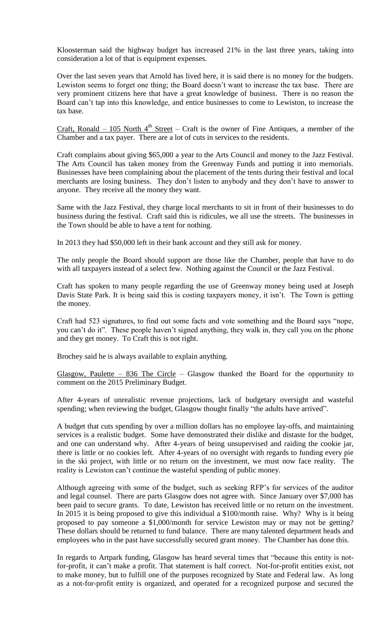Kloosterman said the highway budget has increased 21% in the last three years, taking into consideration a lot of that is equipment expenses.

Over the last seven years that Arnold has lived here, it is said there is no money for the budgets. Lewiston seems to forget one thing; the Board doesn't want to increase the tax base. There are very prominent citizens here that have a great knowledge of business. There is no reason the Board can't tap into this knowledge, and entice businesses to come to Lewiston, to increase the tax base.

<u>Craft, Ronald – 105 North 4<sup>th</sup> Street</u> – Craft is the owner of Fine Antiques, a member of the Chamber and a tax payer. There are a lot of cuts in services to the residents.

Craft complains about giving \$65,000 a year to the Arts Council and money to the Jazz Festival. The Arts Council has taken money from the Greenway Funds and putting it into memorials. Businesses have been complaining about the placement of the tents during their festival and local merchants are losing business. They don't listen to anybody and they don't have to answer to anyone. They receive all the money they want.

Same with the Jazz Festival, they charge local merchants to sit in front of their businesses to do business during the festival. Craft said this is ridicules, we all use the streets. The businesses in the Town should be able to have a tent for nothing.

In 2013 they had \$50,000 left in their bank account and they still ask for money.

The only people the Board should support are those like the Chamber, people that have to do with all taxpayers instead of a select few. Nothing against the Council or the Jazz Festival.

Craft has spoken to many people regarding the use of Greenway money being used at Joseph Davis State Park. It is being said this is costing taxpayers money, it isn't. The Town is getting the money.

Craft had 523 signatures, to find out some facts and vote something and the Board says "nope, you can't do it". These people haven't signed anything, they walk in, they call you on the phone and they get money. To Craft this is not right.

Brochey said he is always available to explain anything.

Glasgow, Paulette  $-$  836 The Circle  $-$  Glasgow thanked the Board for the opportunity to comment on the 2015 Preliminary Budget.

After 4-years of unrealistic revenue projections, lack of budgetary oversight and wasteful spending; when reviewing the budget, Glasgow thought finally "the adults have arrived".

A budget that cuts spending by over a million dollars has no employee lay-offs, and maintaining services is a realistic budget. Some have demonstrated their dislike and distaste for the budget, and one can understand why. After 4-years of being unsupervised and raiding the cookie jar, there is little or no cookies left. After 4-years of no oversight with regards to funding every pie in the ski project, with little or no return on the investment, we must now face reality. The reality is Lewiston can't continue the wasteful spending of public money.

Although agreeing with some of the budget, such as seeking RFP's for services of the auditor and legal counsel. There are parts Glasgow does not agree with. Since January over \$7,000 has been paid to secure grants. To date, Lewiston has received little or no return on the investment. In 2015 it is being proposed to give this individual a \$100/month raise. Why? Why is it being proposed to pay someone a \$1,000/month for service Lewiston may or may not be getting? These dollars should be returned to fund balance. There are many talented department heads and employees who in the past have successfully secured grant money. The Chamber has done this.

In regards to Artpark funding, Glasgow has heard several times that "because this entity is notfor-profit, it can't make a profit. That statement is half correct. Not-for-profit entities exist, not to make money, but to fulfill one of the purposes recognized by State and Federal law. As long as a not-for-profit entity is organized, and operated for a recognized purpose and secured the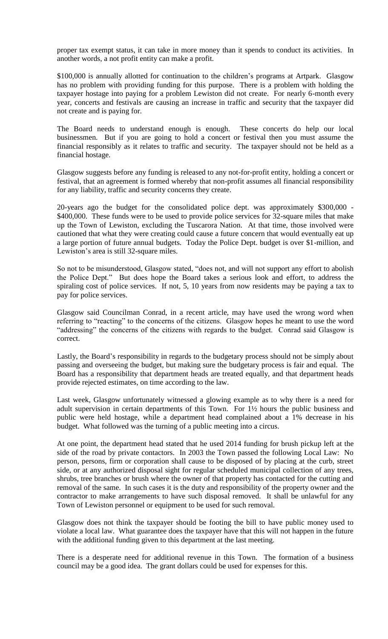proper tax exempt status, it can take in more money than it spends to conduct its activities. In another words, a not profit entity can make a profit.

\$100,000 is annually allotted for continuation to the children's programs at Artpark. Glasgow has no problem with providing funding for this purpose. There is a problem with holding the taxpayer hostage into paying for a problem Lewiston did not create. For nearly 6-month every year, concerts and festivals are causing an increase in traffic and security that the taxpayer did not create and is paying for.

The Board needs to understand enough is enough. These concerts do help our local businessmen. But if you are going to hold a concert or festival then you must assume the financial responsibly as it relates to traffic and security. The taxpayer should not be held as a financial hostage.

Glasgow suggests before any funding is released to any not-for-profit entity, holding a concert or festival, that an agreement is formed whereby that non-profit assumes all financial responsibility for any liability, traffic and security concerns they create.

20-years ago the budget for the consolidated police dept. was approximately \$300,000 - \$400,000. These funds were to be used to provide police services for 32-square miles that make up the Town of Lewiston, excluding the Tuscarora Nation. At that time, those involved were cautioned that what they were creating could cause a future concern that would eventually eat up a large portion of future annual budgets. Today the Police Dept. budget is over \$1-million, and Lewiston's area is still 32-square miles.

So not to be misunderstood, Glasgow stated, "does not, and will not support any effort to abolish the Police Dept." But does hope the Board takes a serious look and effort, to address the spiraling cost of police services. If not, 5, 10 years from now residents may be paying a tax to pay for police services.

Glasgow said Councilman Conrad, in a recent article, may have used the wrong word when referring to "reacting" to the concerns of the citizens. Glasgow hopes he meant to use the word "addressing" the concerns of the citizens with regards to the budget. Conrad said Glasgow is correct.

Lastly, the Board's responsibility in regards to the budgetary process should not be simply about passing and overseeing the budget, but making sure the budgetary process is fair and equal. The Board has a responsibility that department heads are treated equally, and that department heads provide rejected estimates, on time according to the law.

Last week, Glasgow unfortunately witnessed a glowing example as to why there is a need for adult supervision in certain departments of this Town. For 1½ hours the public business and public were held hostage, while a department head complained about a 1% decrease in his budget. What followed was the turning of a public meeting into a circus.

At one point, the department head stated that he used 2014 funding for brush pickup left at the side of the road by private contactors. In 2003 the Town passed the following Local Law: No person, persons, firm or corporation shall cause to be disposed of by placing at the curb, street side, or at any authorized disposal sight for regular scheduled municipal collection of any trees, shrubs, tree branches or brush where the owner of that property has contacted for the cutting and removal of the same. In such cases it is the duty and responsibility of the property owner and the contractor to make arrangements to have such disposal removed. It shall be unlawful for any Town of Lewiston personnel or equipment to be used for such removal.

Glasgow does not think the taxpayer should be footing the bill to have public money used to violate a local law. What guarantee does the taxpayer have that this will not happen in the future with the additional funding given to this department at the last meeting.

There is a desperate need for additional revenue in this Town. The formation of a business council may be a good idea. The grant dollars could be used for expenses for this.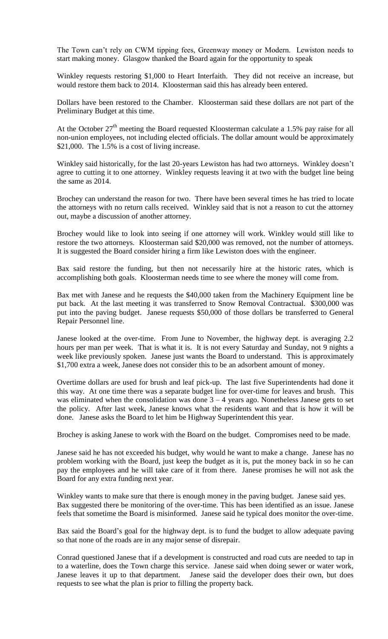The Town can't rely on CWM tipping fees, Greenway money or Modern. Lewiston needs to start making money. Glasgow thanked the Board again for the opportunity to speak

Winkley requests restoring \$1,000 to Heart Interfaith. They did not receive an increase, but would restore them back to 2014. Kloosterman said this has already been entered.

Dollars have been restored to the Chamber. Kloosterman said these dollars are not part of the Preliminary Budget at this time.

At the October  $27<sup>th</sup>$  meeting the Board requested Kloosterman calculate a 1.5% pay raise for all non-union employees, not including elected officials. The dollar amount would be approximately \$21,000. The 1.5% is a cost of living increase.

Winkley said historically, for the last 20-years Lewiston has had two attorneys. Winkley doesn't agree to cutting it to one attorney. Winkley requests leaving it at two with the budget line being the same as 2014.

Brochey can understand the reason for two. There have been several times he has tried to locate the attorneys with no return calls received. Winkley said that is not a reason to cut the attorney out, maybe a discussion of another attorney.

Brochey would like to look into seeing if one attorney will work. Winkley would still like to restore the two attorneys. Kloosterman said \$20,000 was removed, not the number of attorneys. It is suggested the Board consider hiring a firm like Lewiston does with the engineer.

Bax said restore the funding, but then not necessarily hire at the historic rates, which is accomplishing both goals. Kloosterman needs time to see where the money will come from.

Bax met with Janese and he requests the \$40,000 taken from the Machinery Equipment line be put back. At the last meeting it was transferred to Snow Removal Contractual. \$300,000 was put into the paving budget. Janese requests \$50,000 of those dollars be transferred to General Repair Personnel line.

Janese looked at the over-time. From June to November, the highway dept. is averaging 2.2 hours per man per week. That is what it is. It is not every Saturday and Sunday, not 9 nights a week like previously spoken. Janese just wants the Board to understand. This is approximately \$1,700 extra a week, Janese does not consider this to be an adsorbent amount of money.

Overtime dollars are used for brush and leaf pick-up. The last five Superintendents had done it this way. At one time there was a separate budget line for over-time for leaves and brush. This was eliminated when the consolidation was done  $3 - 4$  years ago. Nonetheless Janese gets to set the policy. After last week, Janese knows what the residents want and that is how it will be done. Janese asks the Board to let him be Highway Superintendent this year.

Brochey is asking Janese to work with the Board on the budget. Compromises need to be made.

Janese said he has not exceeded his budget, why would he want to make a change. Janese has no problem working with the Board, just keep the budget as it is, put the money back in so he can pay the employees and he will take care of it from there. Janese promises he will not ask the Board for any extra funding next year.

Winkley wants to make sure that there is enough money in the paving budget. Janese said yes. Bax suggested there be monitoring of the over-time. This has been identified as an issue. Janese feels that sometime the Board is misinformed. Janese said he typical does monitor the over-time.

Bax said the Board's goal for the highway dept. is to fund the budget to allow adequate paving so that none of the roads are in any major sense of disrepair.

Conrad questioned Janese that if a development is constructed and road cuts are needed to tap in to a waterline, does the Town charge this service. Janese said when doing sewer or water work, Janese leaves it up to that department. Janese said the developer does their own, but does requests to see what the plan is prior to filling the property back.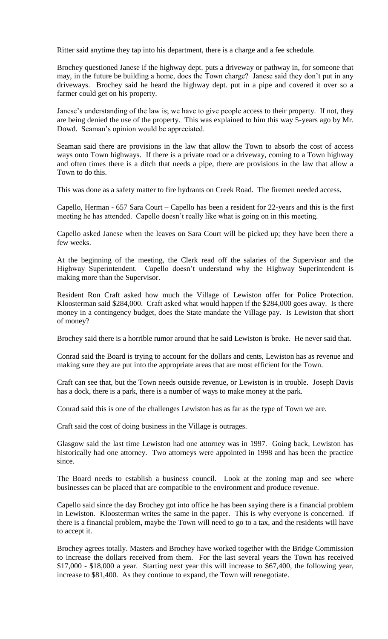Ritter said anytime they tap into his department, there is a charge and a fee schedule.

Brochey questioned Janese if the highway dept. puts a driveway or pathway in, for someone that may, in the future be building a home, does the Town charge? Janese said they don't put in any driveways. Brochey said he heard the highway dept. put in a pipe and covered it over so a farmer could get on his property.

Janese's understanding of the law is; we have to give people access to their property. If not, they are being denied the use of the property. This was explained to him this way 5-years ago by Mr. Dowd. Seaman's opinion would be appreciated.

Seaman said there are provisions in the law that allow the Town to absorb the cost of access ways onto Town highways. If there is a private road or a driveway, coming to a Town highway and often times there is a ditch that needs a pipe, there are provisions in the law that allow a Town to do this.

This was done as a safety matter to fire hydrants on Creek Road. The firemen needed access.

Capello, Herman - 657 Sara Court – Capello has been a resident for 22-years and this is the first meeting he has attended. Capello doesn't really like what is going on in this meeting.

Capello asked Janese when the leaves on Sara Court will be picked up; they have been there a few weeks.

At the beginning of the meeting, the Clerk read off the salaries of the Supervisor and the Highway Superintendent. Capello doesn't understand why the Highway Superintendent is making more than the Supervisor.

Resident Ron Craft asked how much the Village of Lewiston offer for Police Protection. Kloosterman said \$284,000. Craft asked what would happen if the \$284,000 goes away. Is there money in a contingency budget, does the State mandate the Village pay. Is Lewiston that short of money?

Brochey said there is a horrible rumor around that he said Lewiston is broke. He never said that.

Conrad said the Board is trying to account for the dollars and cents, Lewiston has as revenue and making sure they are put into the appropriate areas that are most efficient for the Town.

Craft can see that, but the Town needs outside revenue, or Lewiston is in trouble. Joseph Davis has a dock, there is a park, there is a number of ways to make money at the park.

Conrad said this is one of the challenges Lewiston has as far as the type of Town we are.

Craft said the cost of doing business in the Village is outrages.

Glasgow said the last time Lewiston had one attorney was in 1997. Going back, Lewiston has historically had one attorney. Two attorneys were appointed in 1998 and has been the practice since.

The Board needs to establish a business council. Look at the zoning map and see where businesses can be placed that are compatible to the environment and produce revenue.

Capello said since the day Brochey got into office he has been saying there is a financial problem in Lewiston. Kloosterman writes the same in the paper. This is why everyone is concerned. If there is a financial problem, maybe the Town will need to go to a tax, and the residents will have to accept it.

Brochey agrees totally. Masters and Brochey have worked together with the Bridge Commission to increase the dollars received from them. For the last several years the Town has received \$17,000 - \$18,000 a year. Starting next year this will increase to \$67,400, the following year, increase to \$81,400. As they continue to expand, the Town will renegotiate.